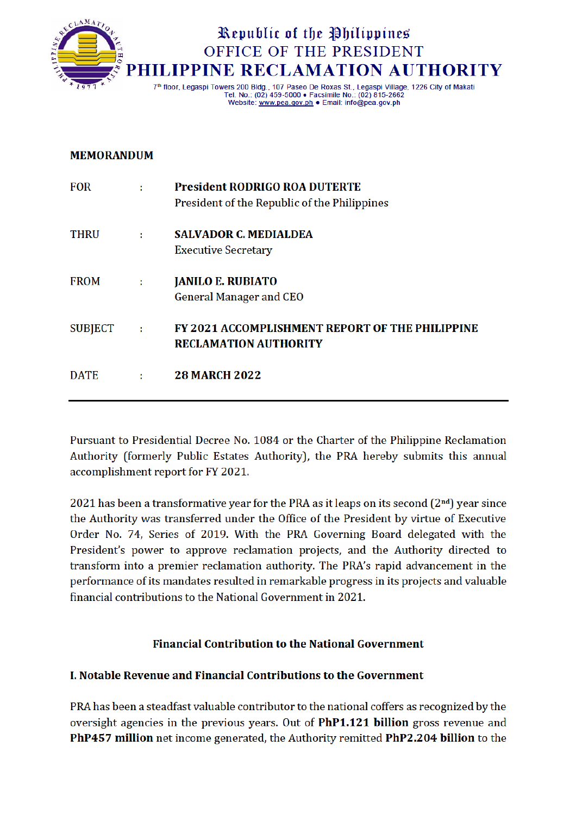

# Republic of the Philippines OFFICE OF THE PRESIDENT **LIPPINE RECLAMATION AUTHORITY**

7th floor, Legaspi Towers 200 Bldg., 107 Paseo De Roxas St., Legaspi Village, 1226 City of Makati Tel. No.: (02) 459-5000 · Facsimile No.: (02) 815-2662 Website: www.pea.gov.ph . Email: info@pea.gov.ph

#### **MEMORANDUM**

| <b>FOR</b>  | ÷  | <b>President RODRIGO ROA DUTERTE</b><br>President of the Republic of the Philippines |
|-------------|----|--------------------------------------------------------------------------------------|
| <b>THRU</b> | ÷. | <b>SALVADOR C. MEDIALDEA</b><br><b>Executive Secretary</b>                           |
| <b>FROM</b> | ÷. | <b>JANILO E. RUBIATO</b><br><b>General Manager and CEO</b>                           |
| SUBJECT :   |    | FY 2021 ACCOMPLISHMENT REPORT OF THE PHILIPPINE<br><b>RECLAMATION AUTHORITY</b>      |
| <b>DATE</b> | ÷  | <b>28 MARCH 2022</b>                                                                 |

Pursuant to Presidential Decree No. 1084 or the Charter of the Philippine Reclamation Authority (formerly Public Estates Authority), the PRA hereby submits this annual accomplishment report for FY 2021.

2021 has been a transformative year for the PRA as it leaps on its second  $(2<sup>nd</sup>)$  year since the Authority was transferred under the Office of the President by virtue of Executive Order No. 74, Series of 2019. With the PRA Governing Board delegated with the President's power to approve reclamation projects, and the Authority directed to transform into a premier reclamation authority. The PRA's rapid advancement in the performance of its mandates resulted in remarkable progress in its projects and valuable financial contributions to the National Government in 2021.

## **Financial Contribution to the National Government**

## **L. Notable Revenue and Financial Contributions to the Government**

PRA has been a steadfast valuable contributor to the national coffers as recognized by the oversight agencies in the previous years. Out of PhP1.121 billion gross revenue and PhP457 million net income generated, the Authority remitted PhP2.204 billion to the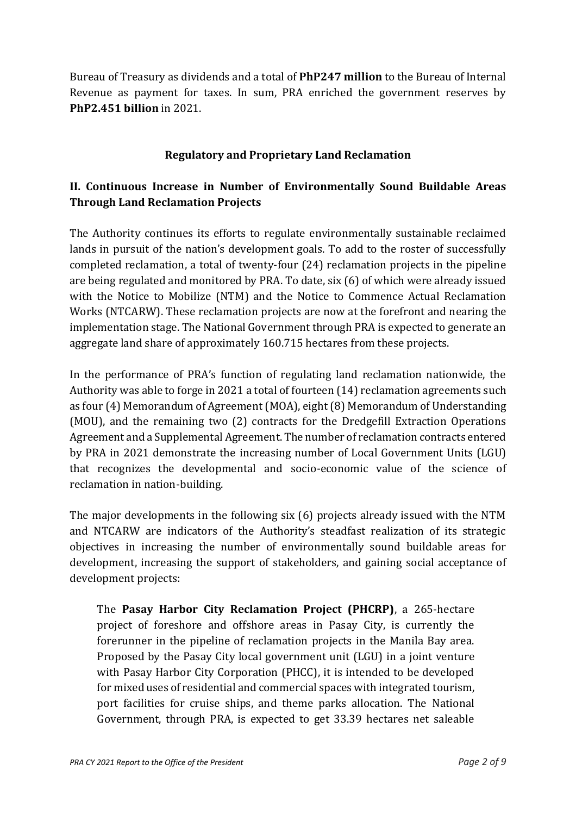Bureau of Treasury as dividends and a total of **PhP247 million** to the Bureau of Internal Revenue as payment for taxes. In sum, PRA enriched the government reserves by **PhP2.451 billion** in 2021.

## **Regulatory and Proprietary Land Reclamation**

# **II. Continuous Increase in Number of Environmentally Sound Buildable Areas Through Land Reclamation Projects**

The Authority continues its efforts to regulate environmentally sustainable reclaimed lands in pursuit of the nation's development goals. To add to the roster of successfully completed reclamation, a total of twenty-four (24) reclamation projects in the pipeline are being regulated and monitored by PRA. To date, six (6) of which were already issued with the Notice to Mobilize (NTM) and the Notice to Commence Actual Reclamation Works (NTCARW). These reclamation projects are now at the forefront and nearing the implementation stage. The National Government through PRA is expected to generate an aggregate land share of approximately 160.715 hectares from these projects.

In the performance of PRA's function of regulating land reclamation nationwide, the Authority was able to forge in 2021 a total of fourteen (14) reclamation agreements such as four (4) Memorandum of Agreement (MOA), eight(8) Memorandum of Understanding (MOU), and the remaining two (2) contracts for the Dredgefill Extraction Operations Agreement and a Supplemental Agreement. The number of reclamation contracts entered by PRA in 2021 demonstrate the increasing number of Local Government Units (LGU) that recognizes the developmental and socio-economic value of the science of reclamation in nation-building.

The major developments in the following six (6) projects already issued with the NTM and NTCARW are indicators of the Authority's steadfast realization of its strategic objectives in increasing the number of environmentally sound buildable areas for development, increasing the support of stakeholders, and gaining social acceptance of development projects:

The **Pasay Harbor City Reclamation Project (PHCRP)**, a 265-hectare project of foreshore and offshore areas in Pasay City, is currently the forerunner in the pipeline of reclamation projects in the Manila Bay area. Proposed by the Pasay City local government unit (LGU) in a joint venture with Pasay Harbor City Corporation (PHCC), it is intended to be developed for mixed uses of residential and commercial spaces with integrated tourism, port facilities for cruise ships, and theme parks allocation. The National Government, through PRA, is expected to get 33.39 hectares net saleable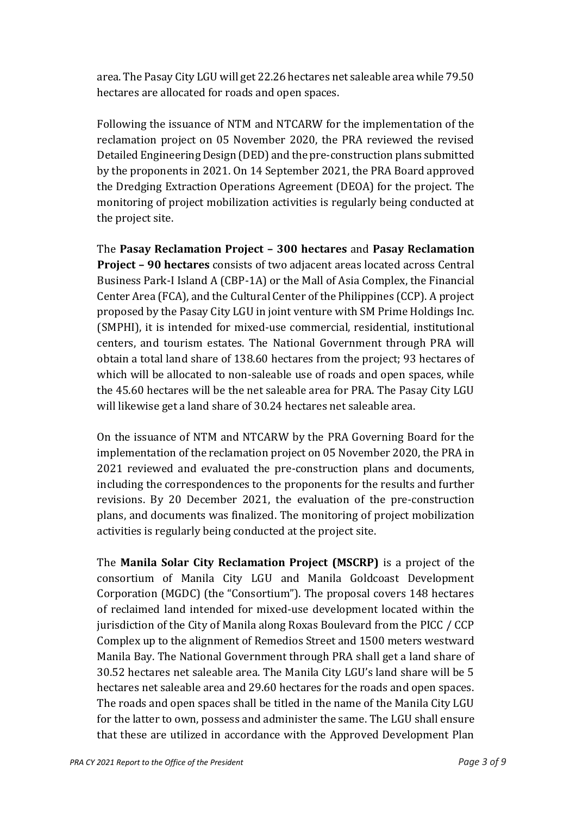area. The Pasay City LGU will get 22.26 hectares net saleable area while 79.50 hectares are allocated for roads and open spaces.

Following the issuance of NTM and NTCARW for the implementation of the reclamation project on 05 November 2020, the PRA reviewed the revised Detailed Engineering Design (DED) and the pre-construction plans submitted by the proponents in 2021. On 14 September 2021, the PRA Board approved the Dredging Extraction Operations Agreement (DEOA) for the project. The monitoring of project mobilization activities is regularly being conducted at the project site.

The **Pasay Reclamation Project – 300 hectares** and **Pasay Reclamation Project – 90 hectares** consists of two adjacent areas located across Central Business Park-I Island A (CBP-1A) or the Mall of Asia Complex, the Financial Center Area (FCA), and the Cultural Center of the Philippines (CCP). A project proposed by the Pasay City LGU in joint venture with SM Prime Holdings Inc. (SMPHI), it is intended for mixed-use commercial, residential, institutional centers, and tourism estates. The National Government through PRA will obtain a total land share of 138.60 hectares from the project; 93 hectares of which will be allocated to non-saleable use of roads and open spaces, while the 45.60 hectares will be the net saleable area for PRA. The Pasay City LGU will likewise get a land share of 30.24 hectares net saleable area.

On the issuance of NTM and NTCARW by the PRA Governing Board for the implementation of the reclamation project on 05 November 2020, the PRA in 2021 reviewed and evaluated the pre-construction plans and documents, including the correspondences to the proponents for the results and further revisions. By 20 December 2021, the evaluation of the pre-construction plans, and documents was finalized. The monitoring of project mobilization activities is regularly being conducted at the project site.

The **Manila Solar City Reclamation Project (MSCRP)** is a project of the consortium of Manila City LGU and Manila Goldcoast Development Corporation (MGDC) (the "Consortium"). The proposal covers 148 hectares of reclaimed land intended for mixed-use development located within the jurisdiction of the City of Manila along Roxas Boulevard from the PICC / CCP Complex up to the alignment of Remedios Street and 1500 meters westward Manila Bay. The National Government through PRA shall get a land share of 30.52 hectares net saleable area. The Manila City LGU's land share will be 5 hectares net saleable area and 29.60 hectares for the roads and open spaces. The roads and open spaces shall be titled in the name of the Manila City LGU for the latter to own, possess and administer the same. The LGU shall ensure that these are utilized in accordance with the Approved Development Plan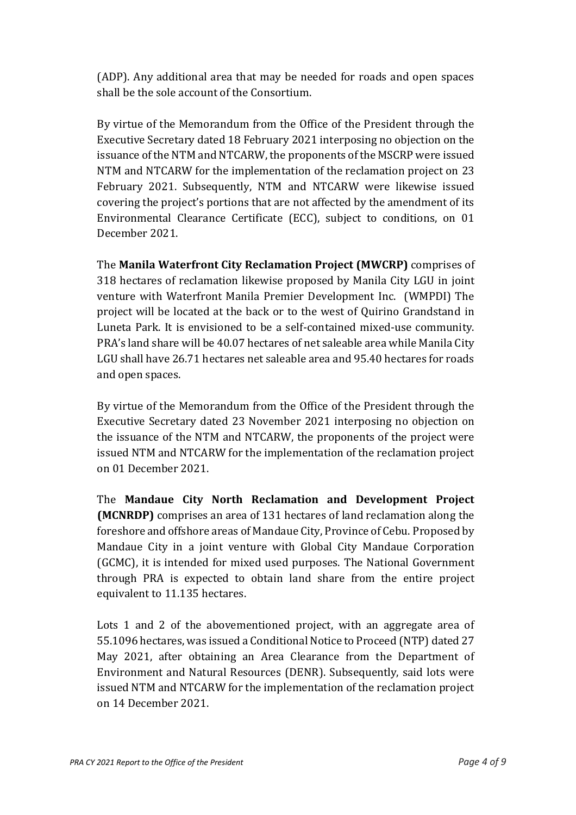(ADP). Any additional area that may be needed for roads and open spaces shall be the sole account of the Consortium.

By virtue of the Memorandum from the Office of the President through the Executive Secretary dated 18 February 2021 interposing no objection on the issuance of the NTM and NTCARW, the proponents of the MSCRP were issued NTM and NTCARW for the implementation of the reclamation project on 23 February 2021. Subsequently, NTM and NTCARW were likewise issued covering the project's portions that are not affected by the amendment of its Environmental Clearance Certificate (ECC), subject to conditions, on 01 December 2021.

The **Manila Waterfront City Reclamation Project (MWCRP)** comprises of 318 hectares of reclamation likewise proposed by Manila City LGU in joint venture with Waterfront Manila Premier Development Inc. (WMPDI) The project will be located at the back or to the west of Quirino Grandstand in Luneta Park. It is envisioned to be a self-contained mixed-use community. PRA's land share will be 40.07 hectares of net saleable area while Manila City LGU shall have 26.71 hectares net saleable area and 95.40 hectares for roads and open spaces.

By virtue of the Memorandum from the Office of the President through the Executive Secretary dated 23 November 2021 interposing no objection on the issuance of the NTM and NTCARW, the proponents of the project were issued NTM and NTCARW for the implementation of the reclamation project on 01 December 2021.

The **Mandaue City North Reclamation and Development Project (MCNRDP)** comprises an area of 131 hectares of land reclamation along the foreshore and offshore areas of Mandaue City, Province of Cebu. Proposed by Mandaue City in a joint venture with Global City Mandaue Corporation (GCMC), it is intended for mixed used purposes. The National Government through PRA is expected to obtain land share from the entire project equivalent to 11.135 hectares.

Lots 1 and 2 of the abovementioned project, with an aggregate area of 55.1096 hectares, was issued a Conditional Notice to Proceed (NTP) dated 27 May 2021, after obtaining an Area Clearance from the Department of Environment and Natural Resources (DENR). Subsequently, said lots were issued NTM and NTCARW for the implementation of the reclamation project on 14 December 2021.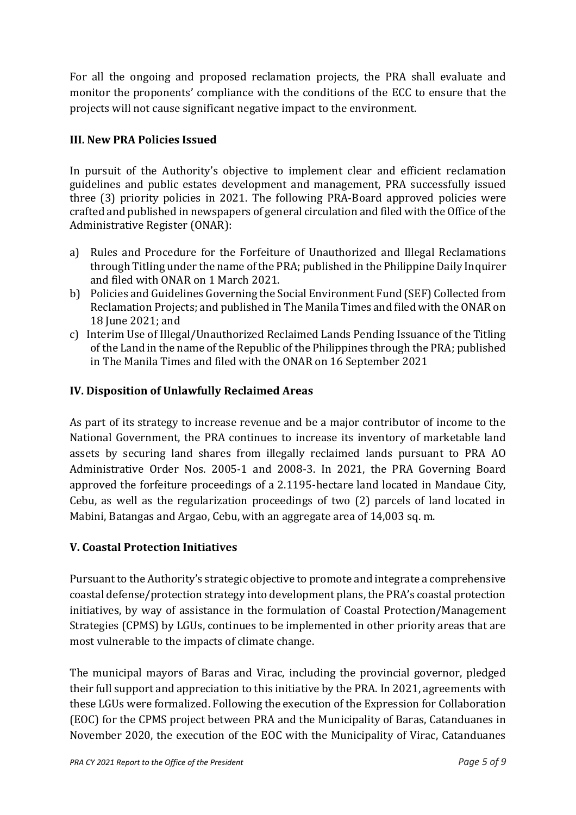For all the ongoing and proposed reclamation projects, the PRA shall evaluate and monitor the proponents' compliance with the conditions of the ECC to ensure that the projects will not cause significant negative impact to the environment.

## **III. New PRA Policies Issued**

In pursuit of the Authority's objective to implement clear and efficient reclamation guidelines and public estates development and management, PRA successfully issued three (3) priority policies in 2021. The following PRA-Board approved policies were crafted and published in newspapers of general circulation and filed with the Office of the Administrative Register (ONAR):

- a) Rules and Procedure for the Forfeiture of Unauthorized and Illegal Reclamations through Titling under the name of the PRA; published in the Philippine Daily Inquirer and filed with ONAR on 1 March 2021.
- b) Policies and Guidelines Governing the Social Environment Fund (SEF) Collected from Reclamation Projects; and published in The Manila Times and filed with the ONAR on 18 June 2021; and
- c) Interim Use of Illegal/Unauthorized Reclaimed Lands Pending Issuance of the Titling of the Land in the name of the Republic of the Philippines through the PRA; published in The Manila Times and filed with the ONAR on 16 September 2021

# **IV. Disposition of Unlawfully Reclaimed Areas**

As part of its strategy to increase revenue and be a major contributor of income to the National Government, the PRA continues to increase its inventory of marketable land assets by securing land shares from illegally reclaimed lands pursuant to PRA AO Administrative Order Nos. 2005-1 and 2008-3. In 2021, the PRA Governing Board approved the forfeiture proceedings of a 2.1195-hectare land located in Mandaue City, Cebu, as well as the regularization proceedings of two (2) parcels of land located in Mabini, Batangas and Argao, Cebu, with an aggregate area of 14,003 sq. m.

## **V. Coastal Protection Initiatives**

Pursuant to the Authority's strategic objective to promote and integrate a comprehensive coastal defense/protection strategy into development plans, the PRA's coastal protection initiatives, by way of assistance in the formulation of Coastal Protection/Management Strategies (CPMS) by LGUs, continues to be implemented in other priority areas that are most vulnerable to the impacts of climate change.

The municipal mayors of Baras and Virac, including the provincial governor, pledged their full support and appreciation to this initiative by the PRA. In 2021, agreements with these LGUs were formalized. Following the execution of the Expression for Collaboration (EOC) for the CPMS project between PRA and the Municipality of Baras, Catanduanes in November 2020, the execution of the EOC with the Municipality of Virac, Catanduanes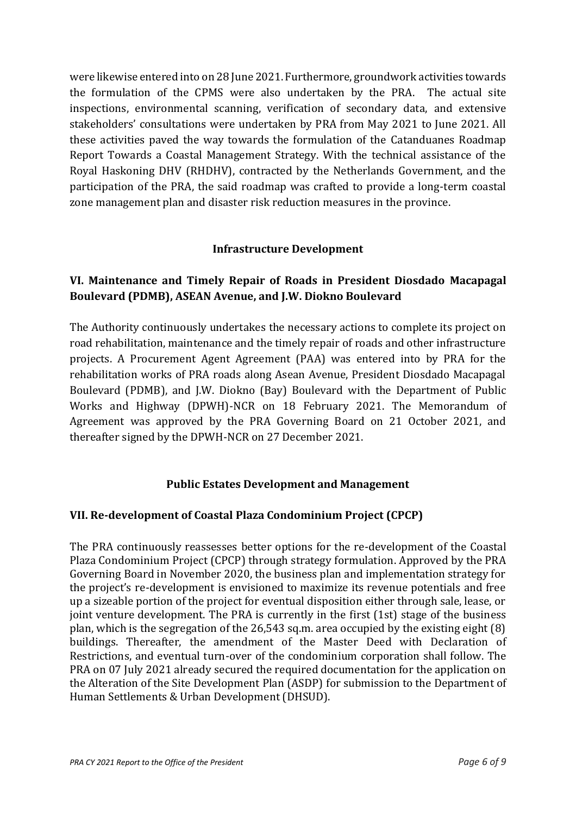were likewise entered into on 28 June 2021. Furthermore, groundwork activities towards the formulation of the CPMS were also undertaken by the PRA. The actual site inspections, environmental scanning, verification of secondary data, and extensive stakeholders' consultations were undertaken by PRA from May 2021 to June 2021. All these activities paved the way towards the formulation of the Catanduanes Roadmap Report Towards a Coastal Management Strategy. With the technical assistance of the Royal Haskoning DHV (RHDHV), contracted by the Netherlands Government, and the participation of the PRA, the said roadmap was crafted to provide a long-term coastal zone management plan and disaster risk reduction measures in the province.

## **Infrastructure Development**

# **VI. Maintenance and Timely Repair of Roads in President Diosdado Macapagal Boulevard (PDMB), ASEAN Avenue, and J.W. Diokno Boulevard**

The Authority continuously undertakes the necessary actions to complete its project on road rehabilitation, maintenance and the timely repair of roads and other infrastructure projects. A Procurement Agent Agreement (PAA) was entered into by PRA for the rehabilitation works of PRA roads along Asean Avenue, President Diosdado Macapagal Boulevard (PDMB), and J.W. Diokno (Bay) Boulevard with the Department of Public Works and Highway (DPWH)-NCR on 18 February 2021. The Memorandum of Agreement was approved by the PRA Governing Board on 21 October 2021, and thereafter signed by the DPWH-NCR on 27 December 2021.

## **Public Estates Development and Management**

## **VII. Re-development of Coastal Plaza Condominium Project (CPCP)**

The PRA continuously reassesses better options for the re-development of the Coastal Plaza Condominium Project (CPCP) through strategy formulation. Approved by the PRA Governing Board in November 2020, the business plan and implementation strategy for the project's re-development is envisioned to maximize its revenue potentials and free up a sizeable portion of the project for eventual disposition either through sale, lease, or joint venture development. The PRA is currently in the first (1st) stage of the business plan, which is the segregation of the 26,543 sq.m. area occupied by the existing eight (8) buildings. Thereafter, the amendment of the Master Deed with Declaration of Restrictions, and eventual turn-over of the condominium corporation shall follow. The PRA on 07 July 2021 already secured the required documentation for the application on the Alteration of the Site Development Plan (ASDP) for submission to the Department of Human Settlements & Urban Development (DHSUD).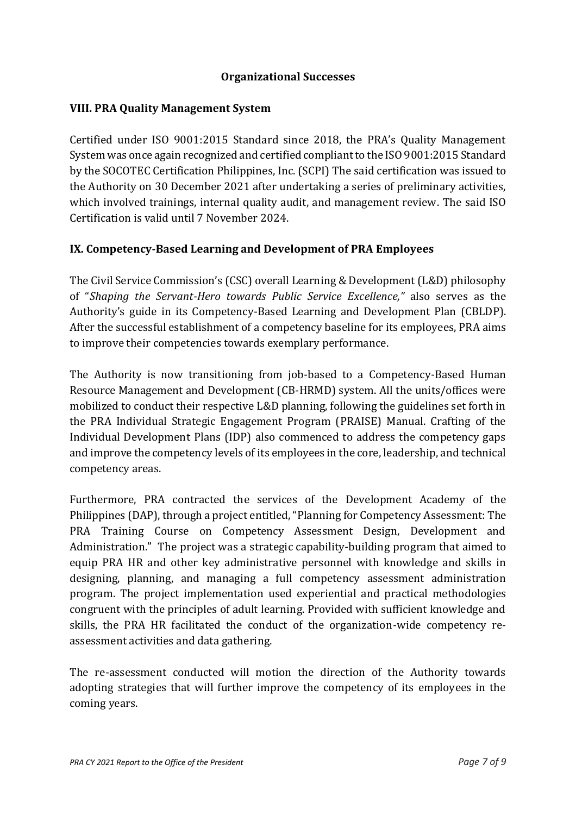#### **Organizational Successes**

#### **VIII. PRA Quality Management System**

Certified under ISO 9001:2015 Standard since 2018, the PRA's Quality Management System was once again recognized and certified compliant to the ISO 9001:2015 Standard by the SOCOTEC Certification Philippines, Inc. (SCPI) The said certification was issued to the Authority on 30 December 2021 after undertaking a series of preliminary activities, which involved trainings, internal quality audit, and management review. The said ISO Certification is valid until 7 November 2024.

## **IX. Competency-Based Learning and Development of PRA Employees**

The Civil Service Commission's (CSC) overall Learning & Development (L&D) philosophy of "*Shaping the Servant-Hero towards Public Service Excellence,"* also serves as the Authority's guide in its Competency-Based Learning and Development Plan (CBLDP). After the successful establishment of a competency baseline for its employees, PRA aims to improve their competencies towards exemplary performance.

The Authority is now transitioning from job-based to a Competency-Based Human Resource Management and Development (CB-HRMD) system. All the units/offices were mobilized to conduct their respective L&D planning, following the guidelines set forth in the PRA Individual Strategic Engagement Program (PRAISE) Manual. Crafting of the Individual Development Plans (IDP) also commenced to address the competency gaps and improve the competency levels of its employees in the core, leadership, and technical competency areas.

Furthermore, PRA contracted the services of the Development Academy of the Philippines (DAP), through a project entitled, "Planning for Competency Assessment: The PRA Training Course on Competency Assessment Design, Development and Administration." The project was a strategic capability-building program that aimed to equip PRA HR and other key administrative personnel with knowledge and skills in designing, planning, and managing a full competency assessment administration program. The project implementation used experiential and practical methodologies congruent with the principles of adult learning. Provided with sufficient knowledge and skills, the PRA HR facilitated the conduct of the organization-wide competency reassessment activities and data gathering.

The re-assessment conducted will motion the direction of the Authority towards adopting strategies that will further improve the competency of its employees in the coming years.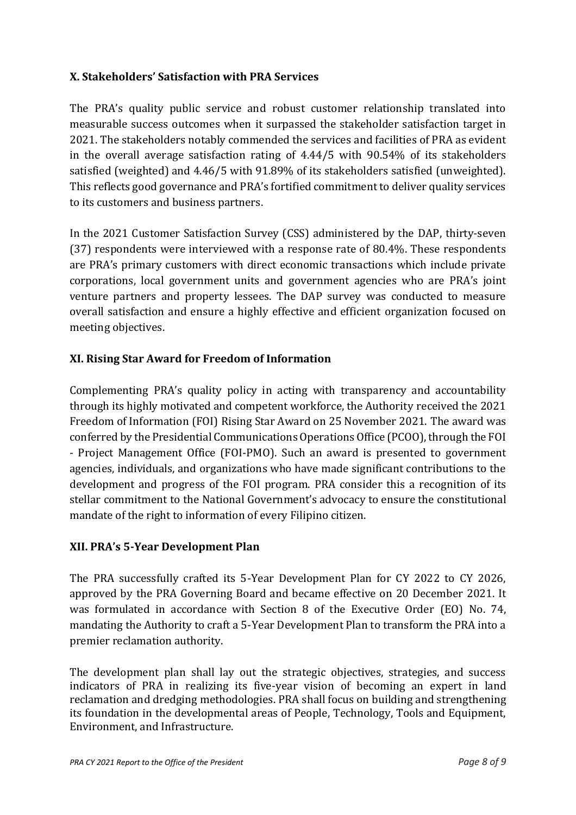## **X. Stakeholders' Satisfaction with PRA Services**

The PRA's quality public service and robust customer relationship translated into measurable success outcomes when it surpassed the stakeholder satisfaction target in 2021. The stakeholders notably commended the services and facilities of PRA as evident in the overall average satisfaction rating of 4.44/5 with 90.54% of its stakeholders satisfied (weighted) and 4.46/5 with 91.89% of its stakeholders satisfied (unweighted). This reflects good governance and PRA's fortified commitment to deliver quality services to its customers and business partners.

In the 2021 Customer Satisfaction Survey (CSS) administered by the DAP, thirty-seven (37) respondents were interviewed with a response rate of 80.4%. These respondents are PRA's primary customers with direct economic transactions which include private corporations, local government units and government agencies who are PRA's joint venture partners and property lessees. The DAP survey was conducted to measure overall satisfaction and ensure a highly effective and efficient organization focused on meeting objectives.

# **XI. Rising Star Award for Freedom of Information**

Complementing PRA's quality policy in acting with transparency and accountability through its highly motivated and competent workforce, the Authority received the 2021 Freedom of Information (FOI) Rising Star Award on 25 November 2021. The award was conferred by the Presidential Communications Operations Office (PCOO), through the FOI - Project Management Office (FOI-PMO). Such an award is presented to government agencies, individuals, and organizations who have made significant contributions to the development and progress of the FOI program. PRA consider this a recognition of its stellar commitment to the National Government's advocacy to ensure the constitutional mandate of the right to information of every Filipino citizen.

## **XII. PRA's 5-Year Development Plan**

The PRA successfully crafted its 5-Year Development Plan for CY 2022 to CY 2026, approved by the PRA Governing Board and became effective on 20 December 2021. It was formulated in accordance with Section 8 of the Executive Order (EO) No. 74, mandating the Authority to craft a 5-Year Development Plan to transform the PRA into a premier reclamation authority.

The development plan shall lay out the strategic objectives, strategies, and success indicators of PRA in realizing its five-year vision of becoming an expert in land reclamation and dredging methodologies. PRA shall focus on building and strengthening its foundation in the developmental areas of People, Technology, Tools and Equipment, Environment, and Infrastructure.